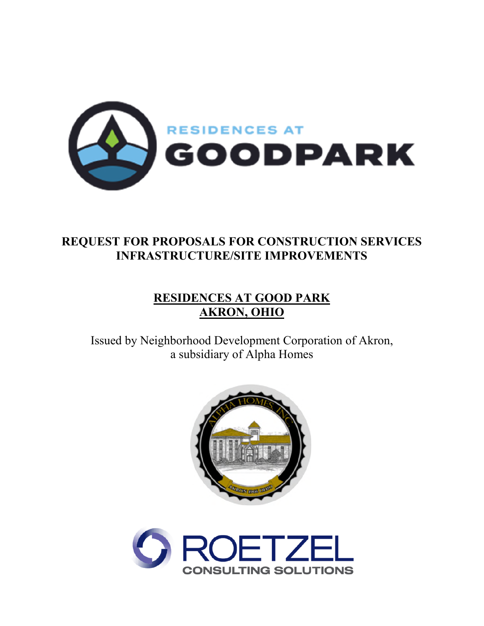

# **REQUEST FOR PROPOSALS FOR CONSTRUCTION SERVICES INFRASTRUCTURE/SITE IMPROVEMENTS**

# **RESIDENCES AT GOOD PARK AKRON, OHIO**

Issued by Neighborhood Development Corporation of Akron, a subsidiary of Alpha Homes



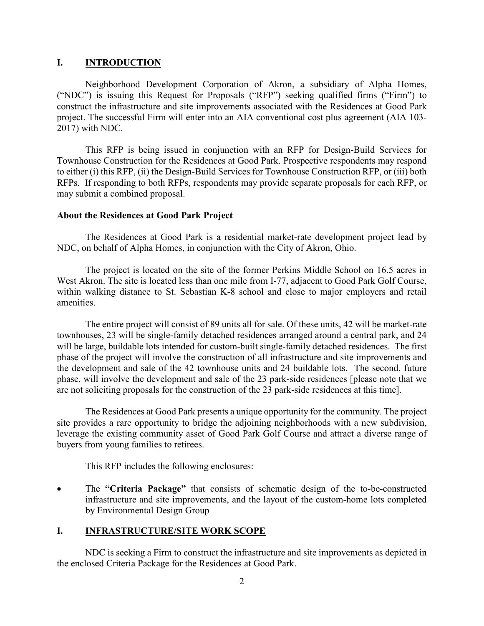### **I. INTRODUCTION**

Neighborhood Development Corporation of Akron, a subsidiary of Alpha Homes, ("NDC") is issuing this Request for Proposals ("RFP") seeking qualified firms ("Firm") to construct the infrastructure and site improvements associated with the Residences at Good Park project. The successful Firm will enter into an AIA conventional cost plus agreement (AIA 103- 2017) with NDC.

This RFP is being issued in conjunction with an RFP for Design-Build Services for Townhouse Construction for the Residences at Good Park. Prospective respondents may respond to either (i) this RFP, (ii) the Design-Build Services for Townhouse Construction RFP, or (iii) both RFPs. If responding to both RFPs, respondents may provide separate proposals for each RFP, or may submit a combined proposal.

### **About the Residences at Good Park Project**

The Residences at Good Park is a residential market-rate development project lead by NDC, on behalf of Alpha Homes, in conjunction with the City of Akron, Ohio.

The project is located on the site of the former Perkins Middle School on 16.5 acres in West Akron. The site is located less than one mile from I-77, adjacent to Good Park Golf Course, within walking distance to St. Sebastian K-8 school and close to major employers and retail amenities.

The entire project will consist of 89 units all for sale. Of these units, 42 will be market-rate townhouses, 23 will be single-family detached residences arranged around a central park, and 24 will be large, buildable lots intended for custom-built single-family detached residences. The first phase of the project will involve the construction of all infrastructure and site improvements and the development and sale of the 42 townhouse units and 24 buildable lots. The second, future phase, will involve the development and sale of the 23 park-side residences [please note that we are not soliciting proposals for the construction of the 23 park-side residences at this time].

The Residences at Good Park presents a unique opportunity for the community. The project site provides a rare opportunity to bridge the adjoining neighborhoods with a new subdivision, leverage the existing community asset of Good Park Golf Course and attract a diverse range of buyers from young families to retirees.

This RFP includes the following enclosures:

 The **"Criteria Package"** that consists of schematic design of the to-be-constructed infrastructure and site improvements, and the layout of the custom-home lots completed by Environmental Design Group

## **I. INFRASTRUCTURE/SITE WORK SCOPE**

NDC is seeking a Firm to construct the infrastructure and site improvements as depicted in the enclosed Criteria Package for the Residences at Good Park.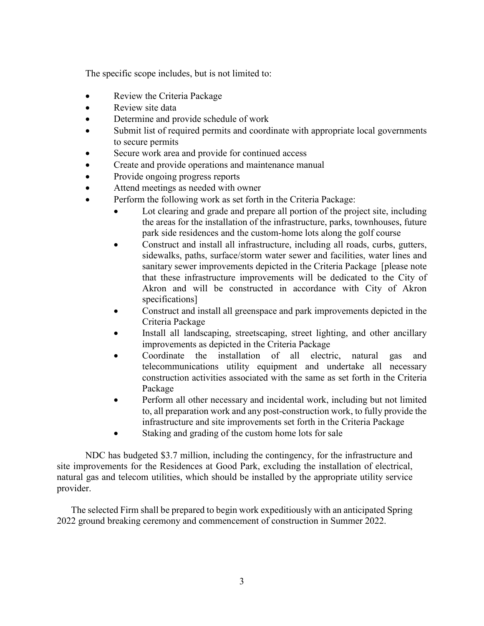The specific scope includes, but is not limited to:

- Review the Criteria Package
- Review site data
- Determine and provide schedule of work
- Submit list of required permits and coordinate with appropriate local governments to secure permits
- Secure work area and provide for continued access
- Create and provide operations and maintenance manual
- Provide ongoing progress reports
- Attend meetings as needed with owner
- Perform the following work as set forth in the Criteria Package:
	- Lot clearing and grade and prepare all portion of the project site, including the areas for the installation of the infrastructure, parks, townhouses, future park side residences and the custom-home lots along the golf course
	- Construct and install all infrastructure, including all roads, curbs, gutters, sidewalks, paths, surface/storm water sewer and facilities, water lines and sanitary sewer improvements depicted in the Criteria Package [please note that these infrastructure improvements will be dedicated to the City of Akron and will be constructed in accordance with City of Akron specifications]
	- Construct and install all greenspace and park improvements depicted in the Criteria Package
	- Install all landscaping, streetscaping, street lighting, and other ancillary improvements as depicted in the Criteria Package
	- Coordinate the installation of all electric, natural gas and telecommunications utility equipment and undertake all necessary construction activities associated with the same as set forth in the Criteria Package
	- Perform all other necessary and incidental work, including but not limited to, all preparation work and any post-construction work, to fully provide the infrastructure and site improvements set forth in the Criteria Package
	- Staking and grading of the custom home lots for sale

 NDC has budgeted \$3.7 million, including the contingency, for the infrastructure and site improvements for the Residences at Good Park, excluding the installation of electrical, natural gas and telecom utilities, which should be installed by the appropriate utility service provider.

 The selected Firm shall be prepared to begin work expeditiously with an anticipated Spring 2022 ground breaking ceremony and commencement of construction in Summer 2022.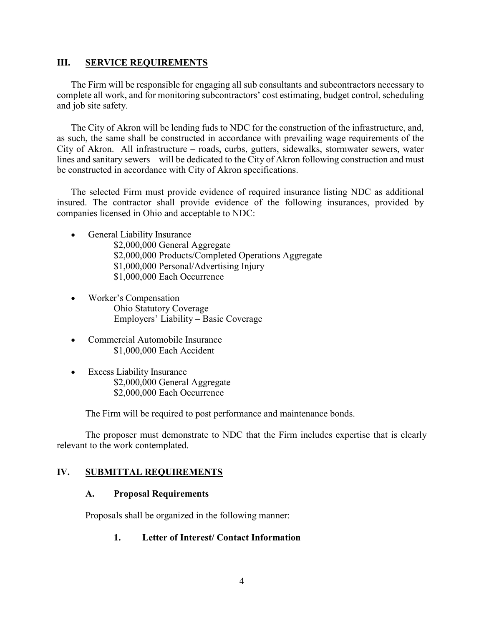#### **III. SERVICE REQUIREMENTS**

The Firm will be responsible for engaging all sub consultants and subcontractors necessary to complete all work, and for monitoring subcontractors' cost estimating, budget control, scheduling and job site safety.

The City of Akron will be lending fuds to NDC for the construction of the infrastructure, and, as such, the same shall be constructed in accordance with prevailing wage requirements of the City of Akron. All infrastructure – roads, curbs, gutters, sidewalks, stormwater sewers, water lines and sanitary sewers – will be dedicated to the City of Akron following construction and must be constructed in accordance with City of Akron specifications.

The selected Firm must provide evidence of required insurance listing NDC as additional insured. The contractor shall provide evidence of the following insurances, provided by companies licensed in Ohio and acceptable to NDC:

- General Liability Insurance
	- \$2,000,000 General Aggregate \$2,000,000 Products/Completed Operations Aggregate \$1,000,000 Personal/Advertising Injury \$1,000,000 Each Occurrence
- Worker's Compensation Ohio Statutory Coverage Employers' Liability – Basic Coverage
- Commercial Automobile Insurance \$1,000,000 Each Accident
- Excess Liability Insurance \$2,000,000 General Aggregate \$2,000,000 Each Occurrence

The Firm will be required to post performance and maintenance bonds.

The proposer must demonstrate to NDC that the Firm includes expertise that is clearly relevant to the work contemplated.

## **IV. SUBMITTAL REQUIREMENTS**

## **A. Proposal Requirements**

Proposals shall be organized in the following manner:

#### **1. Letter of Interest/ Contact Information**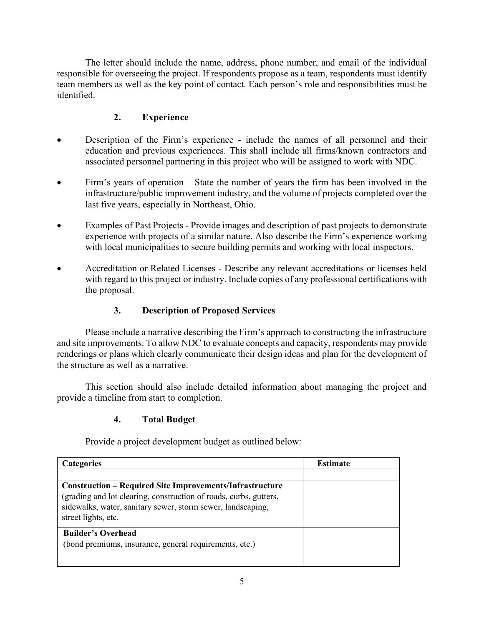The letter should include the name, address, phone number, and email of the individual responsible for overseeing the project. If respondents propose as a team, respondents must identify team members as well as the key point of contact. Each person's role and responsibilities must be identified.

# **2. Experience**

- Description of the Firm's experience include the names of all personnel and their education and previous experiences. This shall include all firms/known contractors and associated personnel partnering in this project who will be assigned to work with NDC.
- Firm's years of operation State the number of years the firm has been involved in the infrastructure/public improvement industry, and the volume of projects completed over the last five years, especially in Northeast, Ohio.
- Examples of Past Projects Provide images and description of past projects to demonstrate experience with projects of a similar nature. Also describe the Firm's experience working with local municipalities to secure building permits and working with local inspectors.
- Accreditation or Related Licenses Describe any relevant accreditations or licenses held with regard to this project or industry. Include copies of any professional certifications with the proposal.

# **3. Description of Proposed Services**

Please include a narrative describing the Firm's approach to constructing the infrastructure and site improvements. To allow NDC to evaluate concepts and capacity, respondents may provide renderings or plans which clearly communicate their design ideas and plan for the development of the structure as well as a narrative.

This section should also include detailed information about managing the project and provide a timeline from start to completion.

# **4. Total Budget**

Provide a project development budget as outlined below:

| <b>Categories</b>                                                                                                                                                                                                          | <b>Estimate</b> |
|----------------------------------------------------------------------------------------------------------------------------------------------------------------------------------------------------------------------------|-----------------|
|                                                                                                                                                                                                                            |                 |
| <b>Construction – Required Site Improvements/Infrastructure</b><br>(grading and lot clearing, construction of roads, curbs, gutters,<br>sidewalks, water, sanitary sewer, storm sewer, landscaping,<br>street lights, etc. |                 |
| <b>Builder's Overhead</b><br>(bond premiums, insurance, general requirements, etc.)                                                                                                                                        |                 |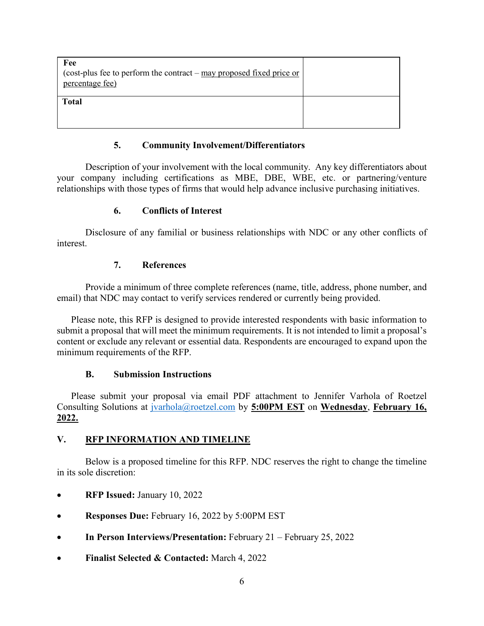| Fee<br>(cost-plus fee to perform the contract $-\frac{may}{may}$ proposed fixed price or<br>percentage fee) |  |
|-------------------------------------------------------------------------------------------------------------|--|
| <b>Total</b>                                                                                                |  |

## **5. Community Involvement/Differentiators**

Description of your involvement with the local community. Any key differentiators about your company including certifications as MBE, DBE, WBE, etc. or partnering/venture relationships with those types of firms that would help advance inclusive purchasing initiatives.

# **6. Conflicts of Interest**

Disclosure of any familial or business relationships with NDC or any other conflicts of interest.

# **7. References**

Provide a minimum of three complete references (name, title, address, phone number, and email) that NDC may contact to verify services rendered or currently being provided.

Please note, this RFP is designed to provide interested respondents with basic information to submit a proposal that will meet the minimum requirements. It is not intended to limit a proposal's content or exclude any relevant or essential data. Respondents are encouraged to expand upon the minimum requirements of the RFP.

# **B. Submission Instructions**

Please submit your proposal via email PDF attachment to Jennifer Varhola of Roetzel Consulting Solutions at jvarhola@roetzel.com by **5:00PM EST** on **Wednesday**, **February 16, 2022.**

# **V. RFP INFORMATION AND TIMELINE**

Below is a proposed timeline for this RFP. NDC reserves the right to change the timeline in its sole discretion:

- **RFP Issued:** January 10, 2022
- **Responses Due:** February 16, 2022 by 5:00PM EST
- In Person Interviews/Presentation: February 21 February 25, 2022
- **Finalist Selected & Contacted:** March 4, 2022